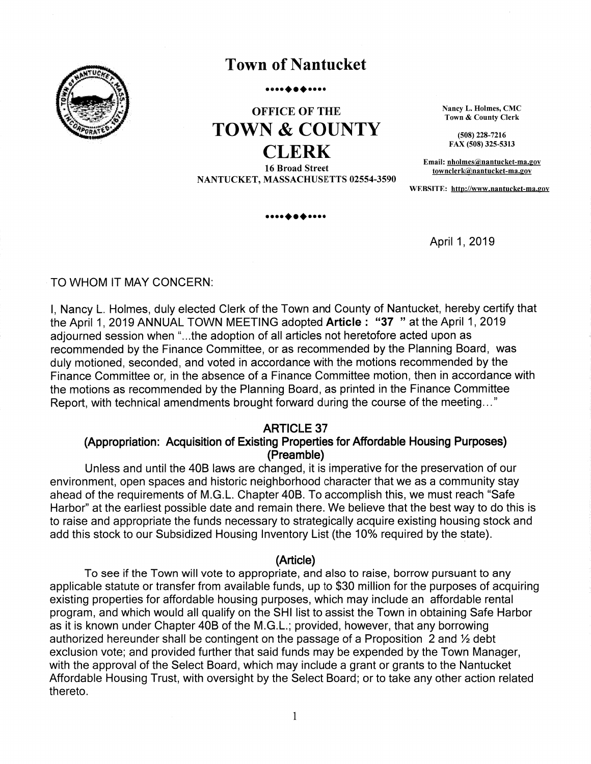

# **Town of Nantucket**

#### .. **. . . .** . . . .

# **OFFICE OF THE TOWN & COUNTY CLERK**

**16 Broad Street** NANTUCKET, MASSACHUSETTS 02554-3590

. . . . . . .

Nancy L. Holmes, CMC Town & County Clerk

 $(508)$  228-7216 FAX (508) 325-5313

Email: nholmes@nantucket-ma.gov townclerk@nantucket-ma.gov

WEBSITE: http://www.nantucket-ma.gov

April 1, 2019

#### TO WHOM IT MAY CONCERN:

I, Nancy L. Holmes, duly elected Clerk of the Town and County of Nantucket, hereby certify that the April 1, 2019 ANNUAL TOWN MEETING adopted Article: "37" at the April 1, 2019 adiourned session when "...the adoption of all articles not heretofore acted upon as recommended by the Finance Committee, or as recommended by the Planning Board, was duly motioned, seconded, and voted in accordance with the motions recommended by the Finance Committee or, in the absence of a Finance Committee motion, then in accordance with the motions as recommended by the Planning Board, as printed in the Finance Committee Report, with technical amendments brought forward during the course of the meeting..."

#### **ARTICLE 37**

#### (Appropriation: Acquisition of Existing Properties for Affordable Housing Purposes) (Preamble)

Unless and until the 40B laws are changed, it is imperative for the preservation of our environment, open spaces and historic neighborhood character that we as a community stay ahead of the requirements of M.G.L. Chapter 40B. To accomplish this, we must reach "Safe Harbor" at the earliest possible date and remain there. We believe that the best way to do this is to raise and appropriate the funds necessary to strategically acquire existing housing stock and add this stock to our Subsidized Housing Inventory List (the 10% required by the state).

#### (Article)

To see if the Town will vote to appropriate, and also to raise, borrow pursuant to any applicable statute or transfer from available funds, up to \$30 million for the purposes of acquiring existing properties for affordable housing purposes, which may include an affordable rental program, and which would all qualify on the SHI list to assist the Town in obtaining Safe Harbor as it is known under Chapter 40B of the M.G.L.; provided, however, that any borrowing authorized hereunder shall be contingent on the passage of a Proposition 2 and 1/2 debt exclusion vote; and provided further that said funds may be expended by the Town Manager, with the approval of the Select Board, which may include a grant or grants to the Nantucket Affordable Housing Trust, with oversight by the Select Board; or to take any other action related thereto.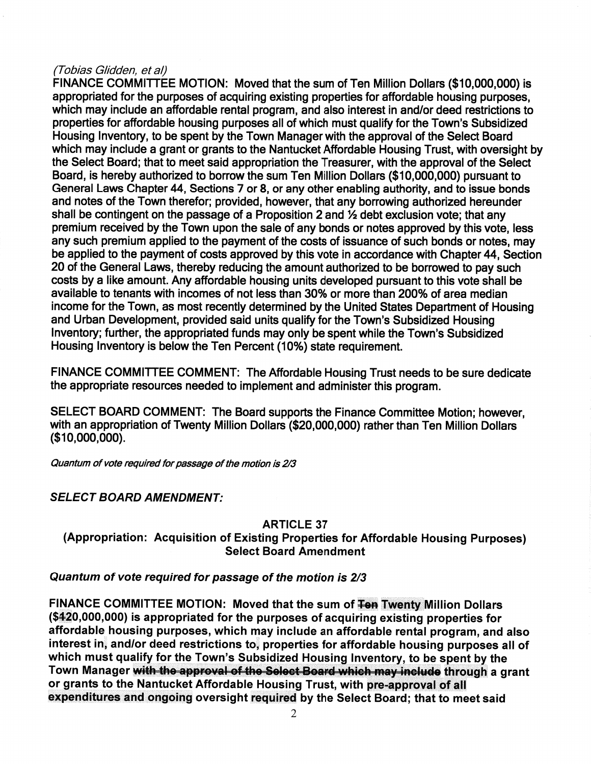#### (Tobias Glidden, et al)

FINANCE COMMITTEE MOTION: Moved that the sum of Ten Million Dollars (\$10,000,000) is appropriated for the purposes of acquiring existing properties for affordable housing purposes. which may include an affordable rental program, and also interest in and/or deed restrictions to properties for affordable housing purposes all of which must qualify for the Town's Subsidized Housing Inventory, to be spent by the Town Manager with the approval of the Select Board which may include a grant or grants to the Nantucket Affordable Housing Trust, with oversight by the Select Board; that to meet said appropriation the Treasurer, with the approval of the Select Board, is hereby authorized to borrow the sum Ten Million Dollars (\$10,000,000) pursuant to General Laws Chapter 44, Sections 7 or 8, or any other enabling authority, and to issue bonds and notes of the Town therefor; provided, however, that any borrowing authorized hereunder shall be contingent on the passage of a Proposition 2 and 1/2 debt exclusion vote; that any premium received by the Town upon the sale of any bonds or notes approved by this vote, less any such premium applied to the payment of the costs of issuance of such bonds or notes, may be applied to the payment of costs approved by this vote in accordance with Chapter 44, Section 20 of the General Laws, thereby reducing the amount authorized to be borrowed to pay such costs by a like amount. Any affordable housing units developed pursuant to this vote shall be available to tenants with incomes of not less than 30% or more than 200% of area median income for the Town, as most recently determined by the United States Department of Housing and Urban Development, provided said units qualify for the Town's Subsidized Housing Inventory; further, the appropriated funds may only be spent while the Town's Subsidized Housing Inventory is below the Ten Percent (10%) state requirement.

FINANCE COMMITTEE COMMENT: The Affordable Housing Trust needs to be sure dedicate the appropriate resources needed to implement and administer this program.

SELECT BOARD COMMENT: The Board supports the Finance Committee Motion: however. with an appropriation of Twenty Million Dollars (\$20,000,000) rather than Ten Million Dollars  $($10,000,000).$ 

Quantum of vote required for passage of the motion is 2/3

### **SELECT BOARD AMENDMENT:**

#### **ARTICLE 37**

(Appropriation: Acquisition of Existing Properties for Affordable Housing Purposes) **Select Board Amendment** 

#### Quantum of vote required for passage of the motion is 2/3

FINANCE COMMITTEE MOTION: Moved that the sum of Fen Twenty Million Dollars (\$420,000,000) is appropriated for the purposes of acquiring existing properties for affordable housing purposes, which may include an affordable rental program, and also interest in, and/or deed restrictions to, properties for affordable housing purposes all of which must qualify for the Town's Subsidized Housing Inventory, to be spent by the Town Manager with the approval of the Select Board which may include through a grant or grants to the Nantucket Affordable Housing Trust, with pre-approval of all expenditures and ongoing oversight required by the Select Board; that to meet said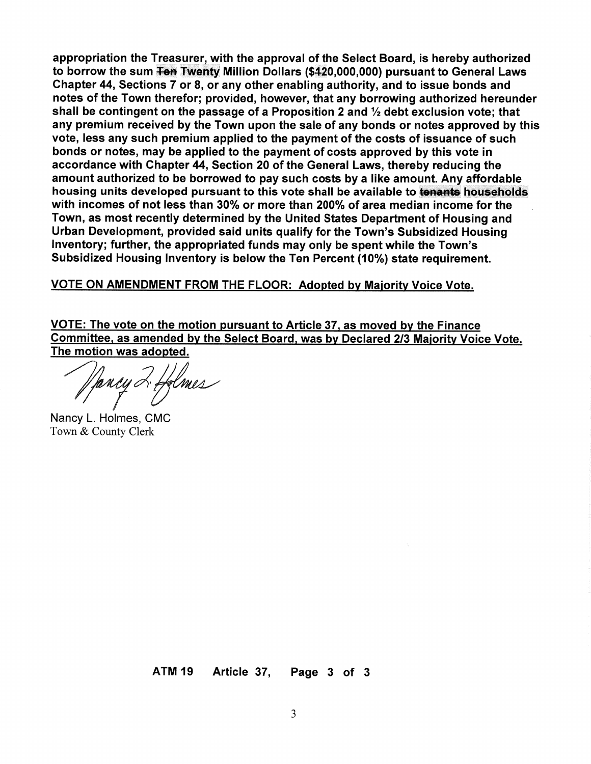appropriation the Treasurer, with the approval of the Select Board, is hereby authorized to borrow the sum <del>Ten</del> Twenty Million Dollars (\$420,000,000) pursuant to General Laws Chapter 44, Sections 7 or 8, or any other enabling authority, and to issue bonds and notes of the Town therefor; provided, however, that any borrowing authorized hereunder shall be contingent on the passage of a Proposition 2 and  $\frac{1}{2}$  debt exclusion vote; that any premium received by the Town upon the sale of any bonds or notes approved by this vote, less any such premium applied to the payment of the costs of issuance of such bonds or notes, may be applied to the payment of costs approved by this vote in accordance with Chapter 44, Section 20 of the General Laws, thereby reducing the amount authorized to be borrowed to pay such costs by a like amount. Any affordable housing units developed pursuant to this vote shall be available to tenants households with incomes of not less than 30% or more than 200% of area median income for the Town, as most recently determined by the United States Department of Housing and Urban Development, provided said units qualify for the Town's Subsidized Housing Inventory; further, the appropriated funds may only be spent while the Town's Subsidized Housing Inventory is below the Ten Percent (10%) state requirement.

VOTE ON AMENDMENT FROM THE FLOOR: Adopted by Majority Voice Vote.

VOTE: The vote on the motion pursuant to Article 37, as moved by the Finance Committee, as amended by the Select Board, was by Declared 2/3 Majority Voice Vote. The motion was adopted.

ffancy 2 ffelmes

Nancy L. Holmes, CMC Town & County Clerk

**ATM 19** Article 37, Page 3 of 3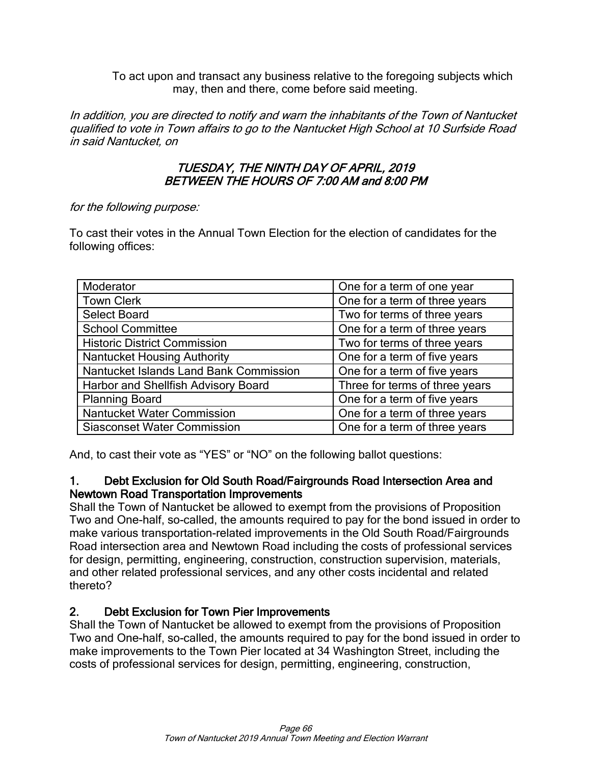To act upon and transact any business relative to the foregoing subjects which may, then and there, come before said meeting.

In addition, you are directed to notify and warn the inhabitants of the Town of Nantucket qualified to vote in Town affairs to go to the Nantucket High School at 10 Surfside Road in said Nantucket, on

### TUESDAY, THE NINTH DAY OF APRIL, 2019 BETWEEN THE HOURS OF 7:00 AM and 8:00 PM

#### for the following purpose:

To cast their votes in the Annual Town Election for the election of candidates for the following offices:

| Moderator                              | One for a term of one year     |  |
|----------------------------------------|--------------------------------|--|
| <b>Town Clerk</b>                      | One for a term of three years  |  |
| <b>Select Board</b>                    | Two for terms of three years   |  |
| <b>School Committee</b>                | One for a term of three years  |  |
| <b>Historic District Commission</b>    | Two for terms of three years   |  |
| <b>Nantucket Housing Authority</b>     | One for a term of five years   |  |
| Nantucket Islands Land Bank Commission | One for a term of five years   |  |
| Harbor and Shellfish Advisory Board    | Three for terms of three years |  |
| <b>Planning Board</b>                  | One for a term of five years   |  |
| Nantucket Water Commission             | One for a term of three years  |  |
| <b>Siasconset Water Commission</b>     | One for a term of three years  |  |

And, to cast their vote as "YES" or "NO" on the following ballot questions:

### 1. Debt Exclusion for Old South Road/Fairgrounds Road Intersection Area and Newtown Road Transportation Improvements

Shall the Town of Nantucket be allowed to exempt from the provisions of Proposition Two and One-half, so-called, the amounts required to pay for the bond issued in order to make various transportation-related improvements in the Old South Road/Fairgrounds Road intersection area and Newtown Road including the costs of professional services for design, permitting, engineering, construction, construction supervision, materials, and other related professional services, and any other costs incidental and related thereto?

### 2. Debt Exclusion for Town Pier Improvements

Shall the Town of Nantucket be allowed to exempt from the provisions of Proposition Two and One-half, so-called, the amounts required to pay for the bond issued in order to make improvements to the Town Pier located at 34 Washington Street, including the costs of professional services for design, permitting, engineering, construction,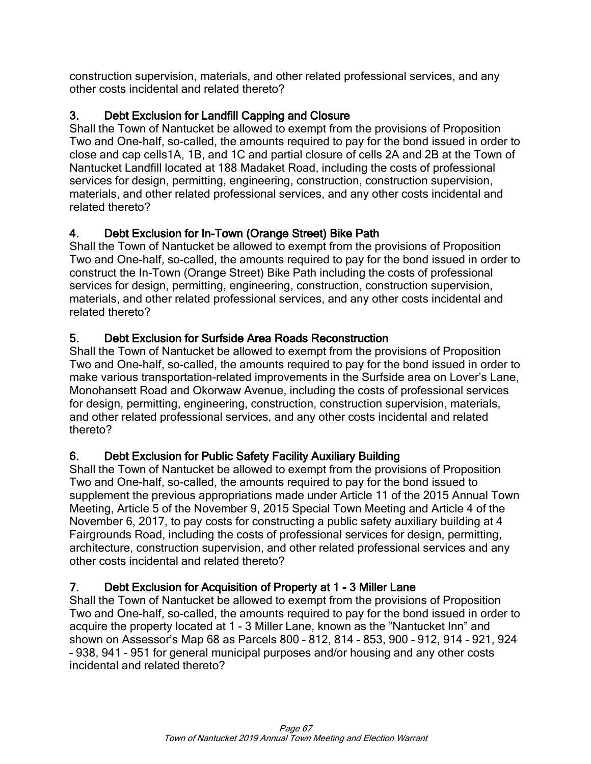construction supervision, materials, and other related professional services, and any other costs incidental and related thereto?

# 3. Debt Exclusion for Landfill Capping and Closure

Shall the Town of Nantucket be allowed to exempt from the provisions of Proposition Two and One-half, so-called, the amounts required to pay for the bond issued in order to close and cap cells1A, 1B, and 1C and partial closure of cells 2A and 2B at the Town of Nantucket Landfill located at 188 Madaket Road, including the costs of professional services for design, permitting, engineering, construction, construction supervision, materials, and other related professional services, and any other costs incidental and related thereto?

# 4. Debt Exclusion for In-Town (Orange Street) Bike Path

Shall the Town of Nantucket be allowed to exempt from the provisions of Proposition Two and One-half, so-called, the amounts required to pay for the bond issued in order to construct the In-Town (Orange Street) Bike Path including the costs of professional services for design, permitting, engineering, construction, construction supervision, materials, and other related professional services, and any other costs incidental and related thereto?

# 5. Debt Exclusion for Surfside Area Roads Reconstruction

Shall the Town of Nantucket be allowed to exempt from the provisions of Proposition Two and One-half, so-called, the amounts required to pay for the bond issued in order to make various transportation-related improvements in the Surfside area on Lover's Lane, Monohansett Road and Okorwaw Avenue, including the costs of professional services for design, permitting, engineering, construction, construction supervision, materials, and other related professional services, and any other costs incidental and related thereto?

### 6. Debt Exclusion for Public Safety Facility Auxiliary Building

Shall the Town of Nantucket be allowed to exempt from the provisions of Proposition Two and One-half, so-called, the amounts required to pay for the bond issued to supplement the previous appropriations made under Article 11 of the 2015 Annual Town Meeting, Article 5 of the November 9, 2015 Special Town Meeting and Article 4 of the November 6, 2017, to pay costs for constructing a public safety auxiliary building at 4 Fairgrounds Road, including the costs of professional services for design, permitting, architecture, construction supervision, and other related professional services and any other costs incidental and related thereto?

### 7. Debt Exclusion for Acquisition of Property at 1 - 3 Miller Lane

Shall the Town of Nantucket be allowed to exempt from the provisions of Proposition Two and One-half, so-called, the amounts required to pay for the bond issued in order to acquire the property located at 1 - 3 Miller Lane, known as the "Nantucket Inn" and shown on Assessor's Map 68 as Parcels 800 – 812, 814 – 853, 900 – 912, 914 – 921, 924 – 938, 941 – 951 for general municipal purposes and/or housing and any other costs incidental and related thereto?